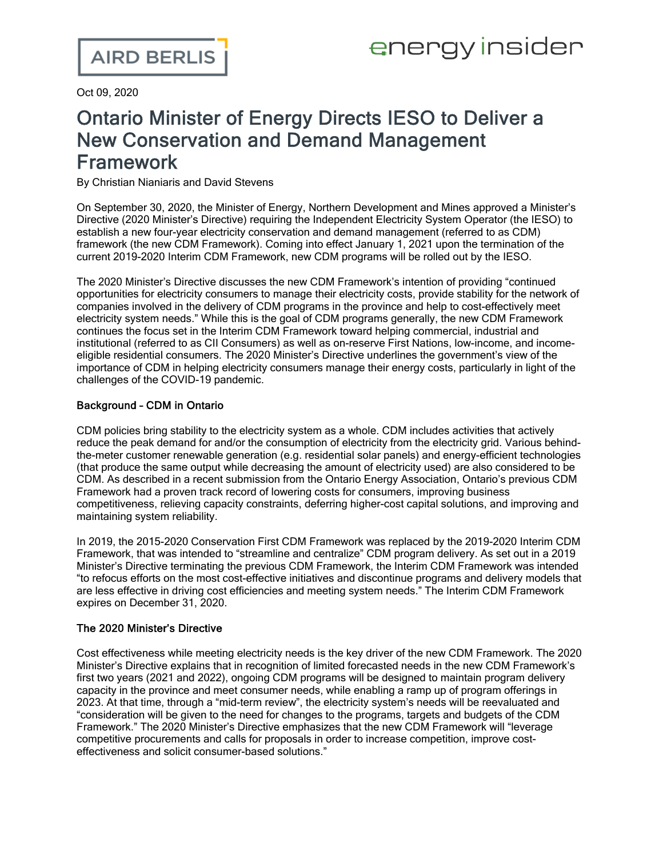Oct 09, 2020

## Ontario Minister of Energy Directs IESO to Deliver a New Conservation and Demand Management Framework

By Christian Nianiaris and David Stevens

On September 30, 2020, the Minister of Energy, Northern Development and Mines approved a [Minister's](http://www.ieso.ca/en/Corporate-IESO/Ministerial-Directives) [Directive](http://www.ieso.ca/en/Corporate-IESO/Ministerial-Directives) (2020 Minister's Directive) requiring the Independent Electricity System Operator (the IESO) to establish a new four-year electricity conservation and demand management (referred to as CDM) framework (the new CDM Framework). Coming into effect January 1, 2021 upon the termination of the current 2019-2020 Interim CDM Framework, new CDM programs will be rolled out by the IESO.

The 2020 Minister's Directive discusses the new CDM Framework's intention of providing "continued opportunities for electricity consumers to manage their electricity costs, provide stability for the network of companies involved in the delivery of CDM programs in the province and help to cost-effectively meet electricity system needs." While this is the goal of CDM programs generally, the new CDM Framework continues the focus set in the Interim CDM Framework toward helping commercial, industrial and institutional (referred to as CII Consumers) as well as on-reserve First Nations, low-income, and incomeeligible residential consumers. The 2020 Minister's Directive underlines the government's view of the importance of CDM in helping electricity consumers manage their energy costs, particularly in light of the challenges of the COVID-19 pandemic.

## Background – CDM in Ontario

CDM policies bring stability to the electricity system as a whole. CDM includes activities that actively reduce the peak demand for and/or the consumption of electricity from the electricity grid. Various behindthe-meter customer renewable generation (e.g. residential solar panels) and energy-efficient technologies (that produce the same output while decreasing the amount of electricity used) are also considered to be CDM. As described in a recent submission from the Ontario Energy [Association,](https://energyontario.ca/wp-content/uploads/2018/12/Reforming-Conservation.pdf) Ontario's previous CDM Framework had a proven track record of lowering costs for consumers, improving business competitiveness, relieving capacity constraints, deferring higher-cost capital solutions, and improving and maintaining system reliability.

In 2019, the 2015-2020 [Conservation](http://www.ieso.ca/-/media/Files/IESO/Document-Library/ministerial-directives/2014/20140331-Re-2015-2020-Conservation-First-Framework.pdf) First CDM Framework was replaced by the [2019-2020](http://www.ieso.ca/-/media/Files/IESO/Document-Library/ministerial-directives/2019/Directive-Interim-Framework.pdf) Interim CDM [Framework,](http://www.ieso.ca/-/media/Files/IESO/Document-Library/ministerial-directives/2019/Directive-Interim-Framework.pdf) that was intended to "streamline and centralize" CDM program delivery. As set out in a [2019](http://www.ieso.ca/-/media/Files/IESO/Document-Library/ministerial-directives/2019/Directive-CFF-Wind-down.pdf) [Minister's](http://www.ieso.ca/-/media/Files/IESO/Document-Library/ministerial-directives/2019/Directive-CFF-Wind-down.pdf) Directive terminating the previous CDM Framework, the Interim CDM Framework was intended "to refocus efforts on the most cost-effective initiatives and discontinue programs and delivery models that are less effective in driving cost efficiencies and meeting system needs." The Interim CDM Framework expires on December 31, 2020.

## The 2020 Minister's Directive

Cost effectiveness while meeting electricity needs is the key driver of the new CDM Framework. The 2020 Minister's Directive explains that in recognition of limited forecasted needs in the new CDM Framework's first two years (2021 and 2022), ongoing CDM programs will be designed to maintain program delivery capacity in the province and meet consumer needs, while enabling a ramp up of program offerings in 2023. At that time, through a "mid-term review", the electricity system's needs will be reevaluated and "consideration will be given to the need for changes to the programs, targets and budgets of the CDM Framework." The 2020 Minister's Directive emphasizes that the new CDM Framework will "leverage competitive procurements and calls for proposals in order to increase competition, improve costeffectiveness and solicit consumer-based solutions."